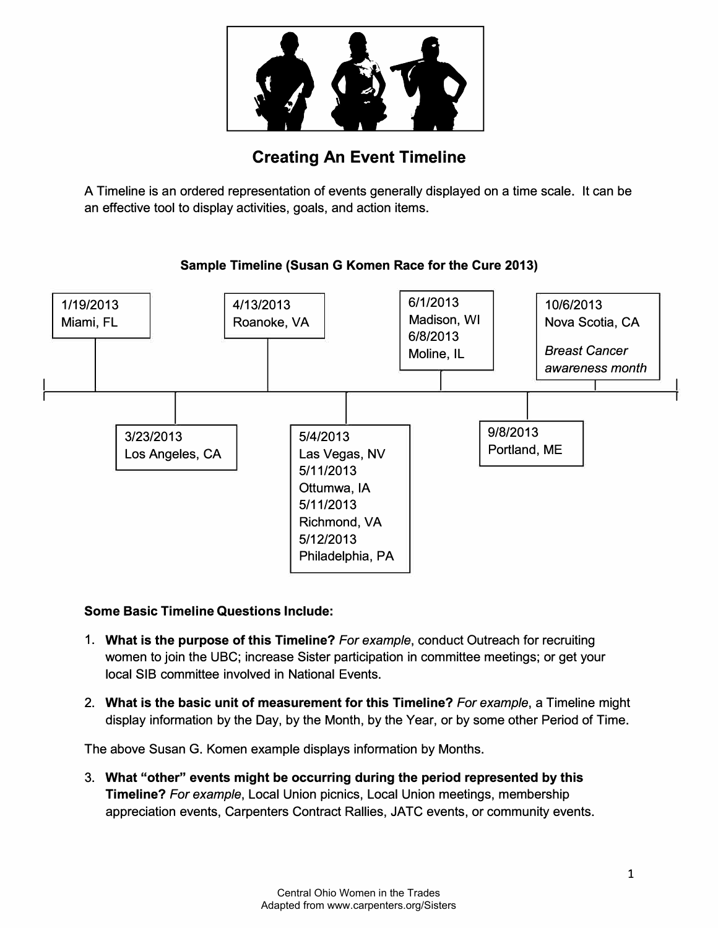

## **Creating An Event Timeline**

A Timeline is an ordered representation of events generally displayed on a time scale. It can be an effective tool to display activities, goals, and action items.



## **Sample Timeline (Susan G Komen Race for the Cure 2013)**

## **Some Basic Timeline Questions Include:**

- **1. What is the purpose of this Timeline?** *For example,* conduct Outreach for recruiting women to join the UBC; increase Sister participation in committee meetings; or get your local SIB committee involved in National Events.
- 2. **What is the basic unit of measurement for this Timeline?** *For example,* a Timeline might display information by the Day, by the Month, by the Year, or by some other Period of Time.

The above Susan G. Komen example displays information by Months.

3. **What "other" events might be occurring during the period represented by this Timeline?** *For example,* Local Union picnics, Local Union meetings, membership appreciation events, Carpenters Contract Rallies, JATC events, or community events.